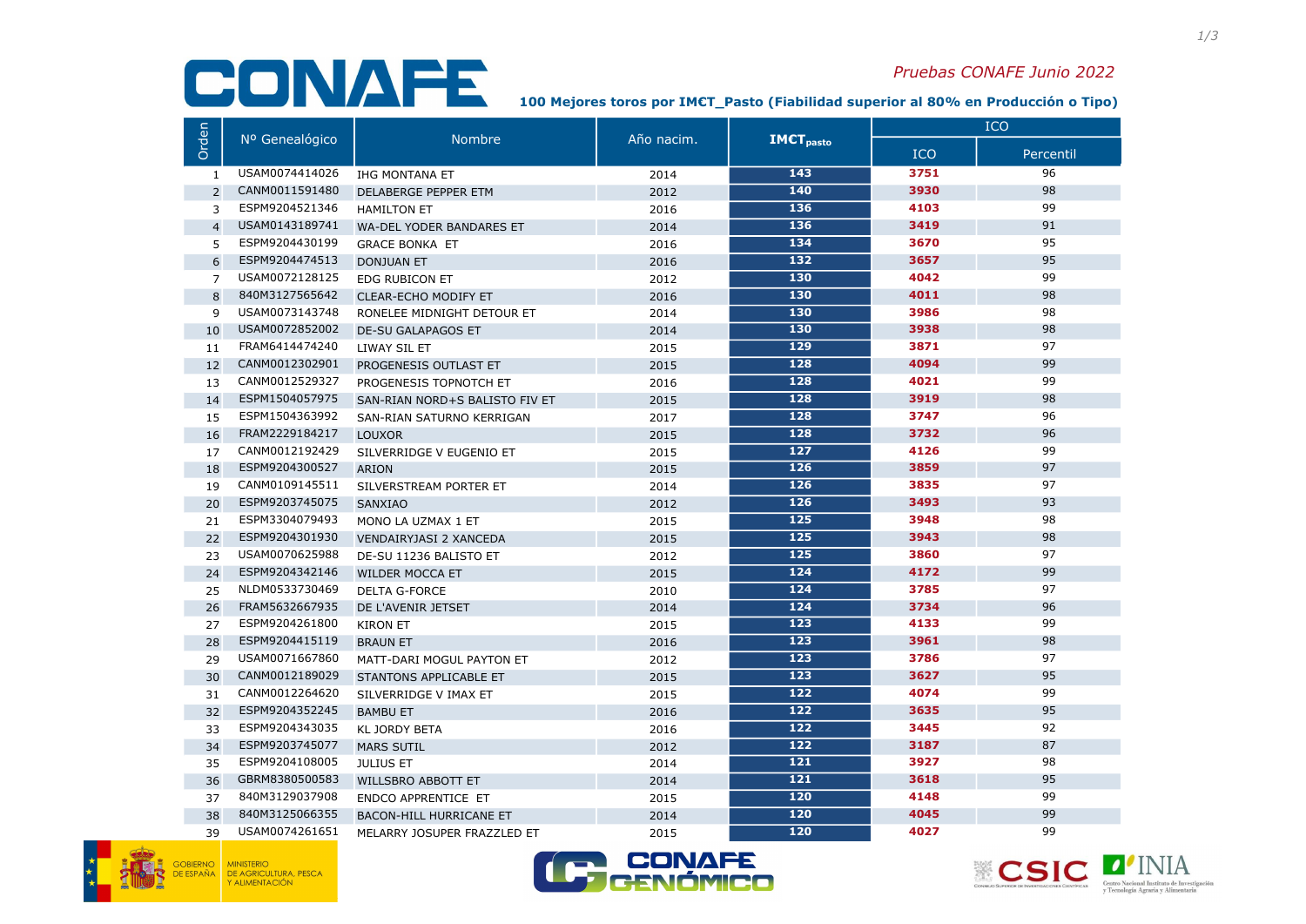## Pruebas CONAFE Junio 2022<br>100 Mejores toros por IM€T\_Pasto (Fiabilidad superior al 80% en Producción o Tipo)

## Pruebas CONAFE Junio 2022

|                | Nº Genealógico | <b>Nombre</b>                  | Año nacim. | <b>IMCT</b> <sub>pasto</sub> | <b>ICO</b> |           |
|----------------|----------------|--------------------------------|------------|------------------------------|------------|-----------|
| Orden          |                |                                |            |                              | ICO        | Percentil |
| 1              | USAM0074414026 | <b>IHG MONTANA ET</b>          | 2014       | 143                          | 3751       | 96        |
| $\overline{2}$ | CANM0011591480 | DELABERGE PEPPER ETM           | 2012       | 140                          | 3930       | 98        |
| 3              | ESPM9204521346 | <b>HAMILTON ET</b>             | 2016       | 136                          | 4103       | 99        |
| $\overline{4}$ | USAM0143189741 | WA-DEL YODER BANDARES ET       | 2014       | 136                          | 3419       | 91        |
| 5              | ESPM9204430199 | <b>GRACE BONKA ET</b>          | 2016       | 134                          | 3670       | 95        |
| 6              | ESPM9204474513 | <b>DONJUAN ET</b>              | 2016       | 132                          | 3657       | 95        |
| $\overline{7}$ | USAM0072128125 | <b>EDG RUBICON ET</b>          | 2012       | 130                          | 4042       | 99        |
| 8              | 840M3127565642 | <b>CLEAR-ECHO MODIFY ET</b>    | 2016       | 130                          | 4011       | 98        |
| 9              | USAM0073143748 | RONELEE MIDNIGHT DETOUR ET     | 2014       | 130                          | 3986       | 98        |
| 10             | USAM0072852002 | <b>DE-SU GALAPAGOS ET</b>      | 2014       | 130                          | 3938       | 98        |
| 11             | FRAM6414474240 | LIWAY SIL ET                   | 2015       | 129                          | 3871       | 97        |
| 12             | CANM0012302901 | PROGENESIS OUTLAST ET          | 2015       | 128                          | 4094       | 99        |
| 13             | CANM0012529327 | PROGENESIS TOPNOTCH ET         | 2016       | 128                          | 4021       | 99        |
| 14             | ESPM1504057975 | SAN-RIAN NORD+S BALISTO FIV ET | 2015       | 128                          | 3919       | 98        |
| 15             | ESPM1504363992 | SAN-RIAN SATURNO KERRIGAN      | 2017       | 128                          | 3747       | 96        |
| 16             | FRAM2229184217 | <b>LOUXOR</b>                  | 2015       | 128                          | 3732       | 96        |
| 17             | CANM0012192429 | SILVERRIDGE V EUGENIO ET       | 2015       | 127                          | 4126       | 99        |
| 18             | ESPM9204300527 | <b>ARION</b>                   | 2015       | 126                          | 3859       | 97        |
| 19             | CANM0109145511 | SILVERSTREAM PORTER ET         | 2014       | 126                          | 3835       | 97        |
| 20             | ESPM9203745075 | <b>SANXIAO</b>                 | 2012       | 126                          | 3493       | 93        |
| 21             | ESPM3304079493 | MONO LA UZMAX 1 ET             | 2015       | 125                          | 3948       | 98        |
| 22             | ESPM9204301930 | VENDAIRYJASI 2 XANCEDA         | 2015       | 125                          | 3943       | 98        |
| 23             | USAM0070625988 | DE-SU 11236 BALISTO ET         | 2012       | 125                          | 3860       | 97        |
| 24             | ESPM9204342146 | <b>WILDER MOCCA ET</b>         | 2015       | 124                          | 4172       | 99        |
| 25             | NLDM0533730469 | <b>DELTA G-FORCE</b>           | 2010       | 124                          | 3785       | 97        |
| 26             | FRAM5632667935 | DE L'AVENIR JETSET             | 2014       | 124                          | 3734       | 96        |
| 27             | ESPM9204261800 | <b>KIRON ET</b>                | 2015       | 123                          | 4133       | 99        |
| 28             | ESPM9204415119 | <b>BRAUN ET</b>                | 2016       | 123                          | 3961       | 98        |
| 29             | USAM0071667860 | MATT-DARI MOGUL PAYTON ET      | 2012       | $\overline{123}$             | 3786       | 97        |
| 30             | CANM0012189029 | STANTONS APPLICABLE ET         | 2015       | $\overline{123}$             | 3627       | 95        |
| 31             | CANM0012264620 | SILVERRIDGE V IMAX ET          | 2015       | 122                          | 4074       | 99        |
| 32             | ESPM9204352245 | <b>BAMBU ET</b>                | 2016       | 122                          | 3635       | 95        |
| 33             | ESPM9204343035 | <b>KL JORDY BETA</b>           | 2016       | 122                          | 3445       | 92        |
| 34             | ESPM9203745077 | <b>MARS SUTIL</b>              | 2012       | 122                          | 3187       | 87        |
| 35             | ESPM9204108005 | <b>JULIUS ET</b>               | 2014       | 121                          | 3927       | 98        |
| 36             | GBRM8380500583 | <b>WILLSBRO ABBOTT ET</b>      | 2014       | $\overline{121}$             | 3618       | 95        |
| 37             | 840M3129037908 | <b>ENDCO APPRENTICE ET</b>     | 2015       | 120                          | 4148       | 99        |
| 38             | 840M3125066355 | <b>BACON-HILL HURRICANE ET</b> | 2014       | 120                          | 4045       | 99        |
| 39             | USAM0074261651 | MELARRY JOSUPER FRAZZLED ET    | 2015       | 120                          | 4027       | 99        |





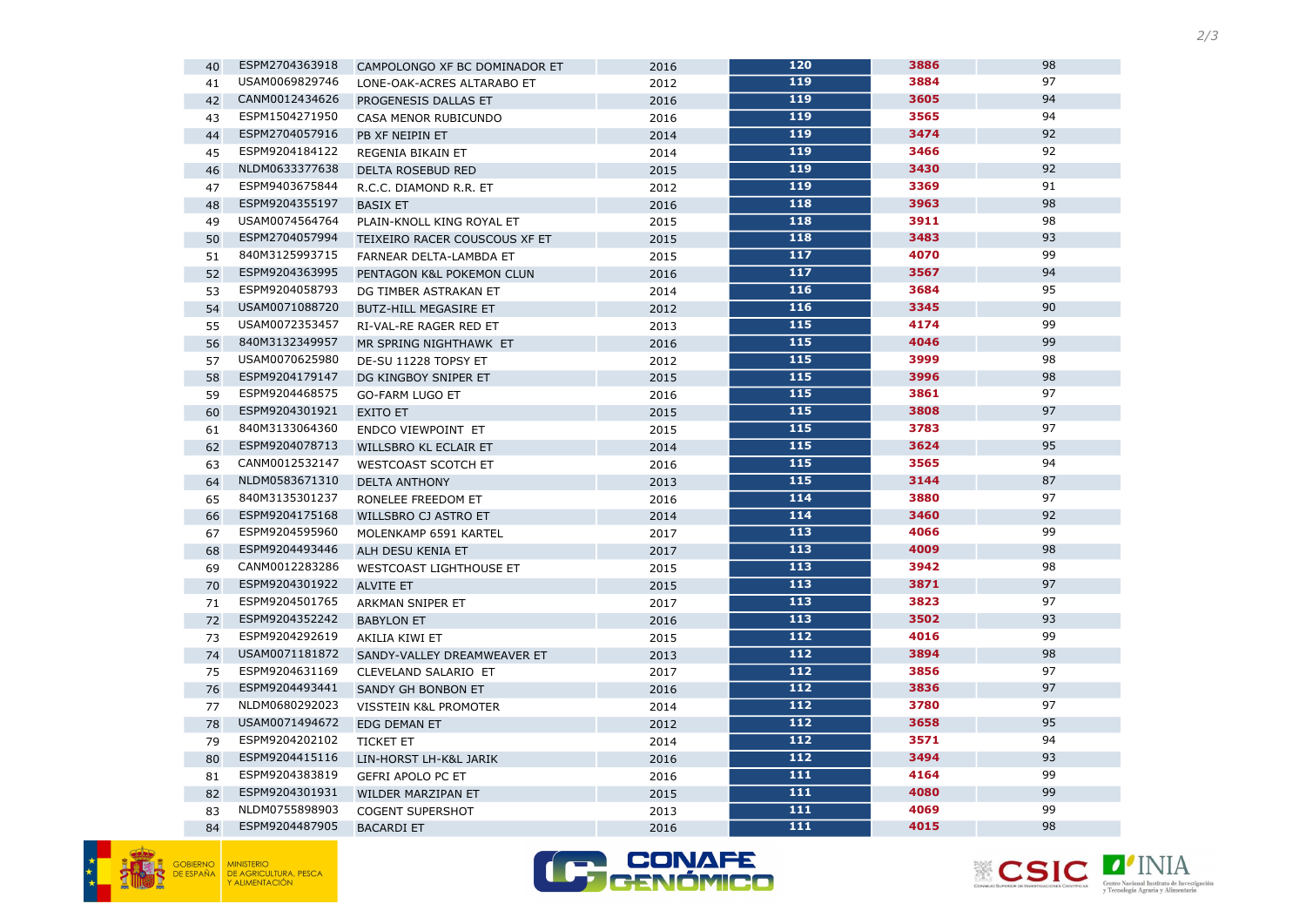





| 40 | ESPM2704363918 | CAMPOLONGO XF BC DOMINADOR ET | 2016 | 120              | 3886 | 98 |
|----|----------------|-------------------------------|------|------------------|------|----|
| 41 | USAM0069829746 | LONE-OAK-ACRES ALTARABO ET    | 2012 | 119              | 3884 | 97 |
| 42 | CANM0012434626 | PROGENESIS DALLAS ET          | 2016 | 119              | 3605 | 94 |
| 43 | ESPM1504271950 | CASA MENOR RUBICUNDO          | 2016 | 119              | 3565 | 94 |
| 44 | ESPM2704057916 | PB XF NEIPIN ET               | 2014 | 119              | 3474 | 92 |
| 45 | ESPM9204184122 | REGENIA BIKAIN ET             | 2014 | 119              | 3466 | 92 |
| 46 | NLDM0633377638 | <b>DELTA ROSEBUD RED</b>      | 2015 | 119              | 3430 | 92 |
| 47 | ESPM9403675844 | R.C.C. DIAMOND R.R. ET        | 2012 | 119              | 3369 | 91 |
| 48 | ESPM9204355197 | <b>BASIX ET</b>               | 2016 | 118              | 3963 | 98 |
| 49 | USAM0074564764 | PLAIN-KNOLL KING ROYAL ET     | 2015 | 118              | 3911 | 98 |
| 50 | ESPM2704057994 | TEIXEIRO RACER COUSCOUS XF ET | 2015 | 118              | 3483 | 93 |
| 51 | 840M3125993715 | FARNEAR DELTA-LAMBDA ET       | 2015 | 117              | 4070 | 99 |
| 52 | ESPM9204363995 | PENTAGON K&L POKEMON CLUN     | 2016 | 117              | 3567 | 94 |
| 53 | ESPM9204058793 | DG TIMBER ASTRAKAN ET         | 2014 | 116              | 3684 | 95 |
| 54 | USAM0071088720 | <b>BUTZ-HILL MEGASIRE ET</b>  | 2012 | 116              | 3345 | 90 |
| 55 | USAM0072353457 | RI-VAL-RE RAGER RED ET        | 2013 | 115              | 4174 | 99 |
| 56 | 840M3132349957 | MR SPRING NIGHTHAWK ET        | 2016 | 115              | 4046 | 99 |
| 57 | USAM0070625980 | DE-SU 11228 TOPSY ET          | 2012 | 115              | 3999 | 98 |
| 58 | ESPM9204179147 | DG KINGBOY SNIPER ET          | 2015 | 115              | 3996 | 98 |
| 59 | ESPM9204468575 | <b>GO-FARM LUGO ET</b>        | 2016 | 115              | 3861 | 97 |
| 60 | ESPM9204301921 | <b>EXITO ET</b>               | 2015 | 115              | 3808 | 97 |
| 61 | 840M3133064360 | ENDCO VIEWPOINT ET            | 2015 | 115              | 3783 | 97 |
| 62 | ESPM9204078713 | WILLSBRO KL ECLAIR ET         | 2014 | 115              | 3624 | 95 |
| 63 | CANM0012532147 | WESTCOAST SCOTCH ET           | 2016 | 115              | 3565 | 94 |
| 64 | NLDM0583671310 | <b>DELTA ANTHONY</b>          | 2013 | 115              | 3144 | 87 |
| 65 | 840M3135301237 | RONELEE FREEDOM ET            | 2016 | 114              | 3880 | 97 |
| 66 | ESPM9204175168 | WILLSBRO CJ ASTRO ET          | 2014 | 114              | 3460 | 92 |
| 67 | ESPM9204595960 | MOLENKAMP 6591 KARTEL         | 2017 | 113              | 4066 | 99 |
| 68 | ESPM9204493446 | ALH DESU KENIA ET             | 2017 | 113              | 4009 | 98 |
| 69 | CANM0012283286 | WESTCOAST LIGHTHOUSE ET       | 2015 | 113              | 3942 | 98 |
| 70 | ESPM9204301922 | <b>ALVITE ET</b>              | 2015 | 113              | 3871 | 97 |
| 71 | ESPM9204501765 | ARKMAN SNIPER ET              | 2017 | 113              | 3823 | 97 |
| 72 | ESPM9204352242 | <b>BABYLON ET</b>             | 2016 | 113              | 3502 | 93 |
| 73 | ESPM9204292619 | AKILIA KIWI ET                | 2015 | 112              | 4016 | 99 |
| 74 | USAM0071181872 | SANDY-VALLEY DREAMWEAVER ET   | 2013 | 112              | 3894 | 98 |
| 75 | ESPM9204631169 | CLEVELAND SALARIO ET          | 2017 | 112              | 3856 | 97 |
| 76 | ESPM9204493441 | <b>SANDY GH BONBON ET</b>     | 2016 | 112              | 3836 | 97 |
| 77 | NLDM0680292023 | VISSTEIN K&L PROMOTER         | 2014 | $\overline{112}$ | 3780 | 97 |
| 78 | USAM0071494672 | EDG DEMAN ET                  | 2012 | 112              | 3658 | 95 |
| 79 | ESPM9204202102 | <b>TICKET ET</b>              | 2014 | 112              | 3571 | 94 |
| 80 | ESPM9204415116 | LIN-HORST LH-K&L JARIK        | 2016 | 112              | 3494 | 93 |
| 81 | ESPM9204383819 | <b>GEFRI APOLO PC ET</b>      | 2016 | 111              | 4164 | 99 |
| 82 | ESPM9204301931 | WILDER MARZIPAN ET            | 2015 | 111              | 4080 | 99 |
| 83 | NLDM0755898903 | <b>COGENT SUPERSHOT</b>       | 2013 | 111              | 4069 | 99 |
| 84 | ESPM9204487905 | <b>BACARDI ET</b>             | 2016 | 111              | 4015 | 98 |